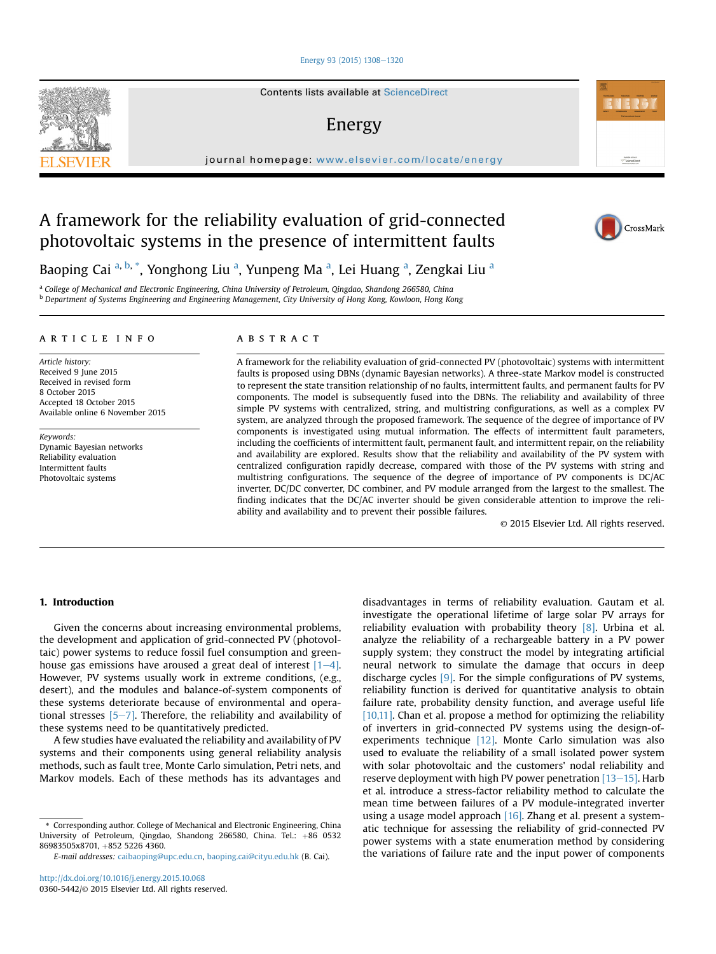#### [Energy 93 \(2015\) 1308](http://dx.doi.org/10.1016/j.energy.2015.10.068)-[1320](http://dx.doi.org/10.1016/j.energy.2015.10.068)

Contents lists available at ScienceDirect

### Energy

journal homepage: [www.elsevier.com/locate/energy](http://www.elsevier.com/locate/energy)

## A framework for the reliability evaluation of grid-connected photovoltaic systems in the presence of intermittent faults

Baoping Cai <sup>a, b,</sup> \*, Yonghong Liu <sup>a</sup>, Yunpeng Ma <sup>a</sup>, Lei Huang <sup>a</sup>, Zengkai Liu <sup>a</sup>

<sup>a</sup> College of Mechanical and Electronic Engineering, China University of Petroleum, Qingdao, Shandong 266580, China <sup>b</sup> Department of Systems Engineering and Engineering Management, City University of Hong Kong, Kowloon, Hong Kong

#### article info

Article history: Received 9 June 2015 Received in revised form 8 October 2015 Accepted 18 October 2015 Available online 6 November 2015

Keywords: Dynamic Bayesian networks Reliability evaluation Intermittent faults Photovoltaic systems

#### **ABSTRACT**

A framework for the reliability evaluation of grid-connected PV (photovoltaic) systems with intermittent faults is proposed using DBNs (dynamic Bayesian networks). A three-state Markov model is constructed to represent the state transition relationship of no faults, intermittent faults, and permanent faults for PV components. The model is subsequently fused into the DBNs. The reliability and availability of three simple PV systems with centralized, string, and multistring configurations, as well as a complex PV system, are analyzed through the proposed framework. The sequence of the degree of importance of PV components is investigated using mutual information. The effects of intermittent fault parameters, including the coefficients of intermittent fault, permanent fault, and intermittent repair, on the reliability and availability are explored. Results show that the reliability and availability of the PV system with centralized configuration rapidly decrease, compared with those of the PV systems with string and multistring configurations. The sequence of the degree of importance of PV components is DC/AC inverter, DC/DC converter, DC combiner, and PV module arranged from the largest to the smallest. The finding indicates that the DC/AC inverter should be given considerable attention to improve the reliability and availability and to prevent their possible failures.

© 2015 Elsevier Ltd. All rights reserved.

#### 1. Introduction

Given the concerns about increasing environmental problems, the development and application of grid-connected PV (photovoltaic) power systems to reduce fossil fuel consumption and greenhouse gas emissions have aroused a great deal of interest  $[1-4]$ . However, PV systems usually work in extreme conditions, (e.g., desert), and the modules and balance-of-system components of these systems deteriorate because of environmental and operational stresses  $[5-7]$ . Therefore, the reliability and availability of these systems need to be quantitatively predicted.

A few studies have evaluated the reliability and availability of PV systems and their components using general reliability analysis methods, such as fault tree, Monte Carlo simulation, Petri nets, and Markov models. Each of these methods has its advantages and

E-mail addresses: [caibaoping@upc.edu.cn,](mailto:caibaoping@upc.edu.cn) [baoping.cai@cityu.edu.hk](mailto:baoping.cai@cityu.edu.hk) (B. Cai).

disadvantages in terms of reliability evaluation. Gautam et al. investigate the operational lifetime of large solar PV arrays for reliability evaluation with probability theory [8]. Urbina et al. analyze the reliability of a rechargeable battery in a PV power supply system; they construct the model by integrating artificial neural network to simulate the damage that occurs in deep discharge cycles [9]. For the simple configurations of PV systems, reliability function is derived for quantitative analysis to obtain failure rate, probability density function, and average useful life  $[10,11]$ . Chan et al. propose a method for optimizing the reliability of inverters in grid-connected PV systems using the design-ofexperiments technique [12]. Monte Carlo simulation was also used to evaluate the reliability of a small isolated power system with solar photovoltaic and the customers' nodal reliability and reserve deployment with high PV power penetration  $[13-15]$ . Harb et al. introduce a stress-factor reliability method to calculate the mean time between failures of a PV module-integrated inverter using a usage model approach [16]. Zhang et al. present a systematic technique for assessing the reliability of grid-connected PV power systems with a state enumeration method by considering the variations of failure rate and the input power of components





Automotive at<br>ScienceDire

<sup>\*</sup> Corresponding author. College of Mechanical and Electronic Engineering, China University of Petroleum, Qingdao, Shandong 266580, China. Tel.: +86 0532 86983505x8701, +852 5226 4360.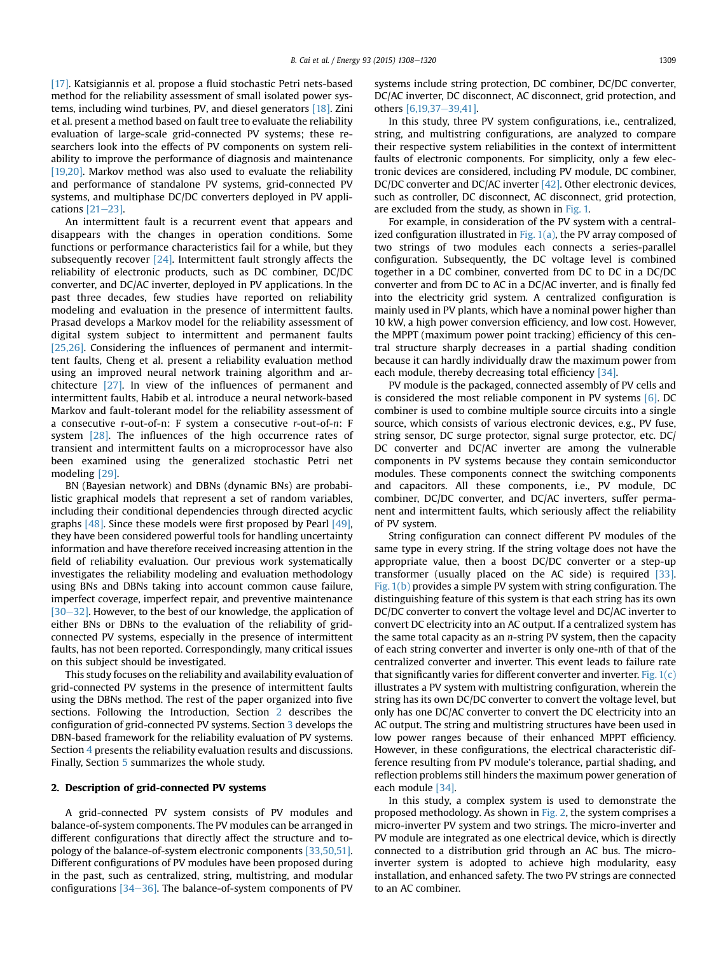[17]. Katsigiannis et al. propose a fluid stochastic Petri nets-based method for the reliability assessment of small isolated power systems, including wind turbines, PV, and diesel generators [18]. Zini et al. present a method based on fault tree to evaluate the reliability evaluation of large-scale grid-connected PV systems; these researchers look into the effects of PV components on system reliability to improve the performance of diagnosis and maintenance [19,20]. Markov method was also used to evaluate the reliability and performance of standalone PV systems, grid-connected PV systems, and multiphase DC/DC converters deployed in PV applications  $[21-23]$ .

An intermittent fault is a recurrent event that appears and disappears with the changes in operation conditions. Some functions or performance characteristics fail for a while, but they subsequently recover  $[24]$ . Intermittent fault strongly affects the reliability of electronic products, such as DC combiner, DC/DC converter, and DC/AC inverter, deployed in PV applications. In the past three decades, few studies have reported on reliability modeling and evaluation in the presence of intermittent faults. Prasad develops a Markov model for the reliability assessment of digital system subject to intermittent and permanent faults [25,26]. Considering the influences of permanent and intermittent faults, Cheng et al. present a reliability evaluation method using an improved neural network training algorithm and architecture [27]. In view of the influences of permanent and intermittent faults, Habib et al. introduce a neural network-based Markov and fault-tolerant model for the reliability assessment of a consecutive r-out-of-n: F system a consecutive r-out-of-n: F system [28]. The influences of the high occurrence rates of transient and intermittent faults on a microprocessor have also been examined using the generalized stochastic Petri net modeling [29].

BN (Bayesian network) and DBNs (dynamic BNs) are probabilistic graphical models that represent a set of random variables, including their conditional dependencies through directed acyclic graphs [48]. Since these models were first proposed by Pearl [49], they have been considered powerful tools for handling uncertainty information and have therefore received increasing attention in the field of reliability evaluation. Our previous work systematically investigates the reliability modeling and evaluation methodology using BNs and DBNs taking into account common cause failure, imperfect coverage, imperfect repair, and preventive maintenance  $[30-32]$ . However, to the best of our knowledge, the application of either BNs or DBNs to the evaluation of the reliability of gridconnected PV systems, especially in the presence of intermittent faults, has not been reported. Correspondingly, many critical issues on this subject should be investigated.

This study focuses on the reliability and availability evaluation of grid-connected PV systems in the presence of intermittent faults using the DBNs method. The rest of the paper organized into five sections. Following the Introduction, Section 2 describes the configuration of grid-connected PV systems. Section 3 develops the DBN-based framework for the reliability evaluation of PV systems. Section 4 presents the reliability evaluation results and discussions. Finally, Section 5 summarizes the whole study.

#### 2. Description of grid-connected PV systems

A grid-connected PV system consists of PV modules and balance-of-system components. The PV modules can be arranged in different configurations that directly affect the structure and topology of the balance-of-system electronic components [33,50,51]. Different configurations of PV modules have been proposed during in the past, such as centralized, string, multistring, and modular configurations  $[34-36]$ . The balance-of-system components of PV systems include string protection, DC combiner, DC/DC converter, DC/AC inverter, DC disconnect, AC disconnect, grid protection, and others [6,19,37-39,41].

In this study, three PV system configurations, i.e., centralized, string, and multistring configurations, are analyzed to compare their respective system reliabilities in the context of intermittent faults of electronic components. For simplicity, only a few electronic devices are considered, including PV module, DC combiner, DC/DC converter and DC/AC inverter [42]. Other electronic devices, such as controller, DC disconnect, AC disconnect, grid protection, are excluded from the study, as shown in Fig. 1.

For example, in consideration of the PV system with a centralized configuration illustrated in Fig.  $1(a)$ , the PV array composed of two strings of two modules each connects a series-parallel configuration. Subsequently, the DC voltage level is combined together in a DC combiner, converted from DC to DC in a DC/DC converter and from DC to AC in a DC/AC inverter, and is finally fed into the electricity grid system. A centralized configuration is mainly used in PV plants, which have a nominal power higher than 10 kW, a high power conversion efficiency, and low cost. However, the MPPT (maximum power point tracking) efficiency of this central structure sharply decreases in a partial shading condition because it can hardly individually draw the maximum power from each module, thereby decreasing total efficiency [34].

PV module is the packaged, connected assembly of PV cells and is considered the most reliable component in PV systems [6]. DC combiner is used to combine multiple source circuits into a single source, which consists of various electronic devices, e.g., PV fuse, string sensor, DC surge protector, signal surge protector, etc. DC/ DC converter and DC/AC inverter are among the vulnerable components in PV systems because they contain semiconductor modules. These components connect the switching components and capacitors. All these components, i.e., PV module, DC combiner, DC/DC converter, and DC/AC inverters, suffer permanent and intermittent faults, which seriously affect the reliability of PV system.

String configuration can connect different PV modules of the same type in every string. If the string voltage does not have the appropriate value, then a boost DC/DC converter or a step-up transformer (usually placed on the AC side) is required [33]. Fig. 1(b) provides a simple PV system with string configuration. The distinguishing feature of this system is that each string has its own DC/DC converter to convert the voltage level and DC/AC inverter to convert DC electricity into an AC output. If a centralized system has the same total capacity as an n-string PV system, then the capacity of each string converter and inverter is only one-nth of that of the centralized converter and inverter. This event leads to failure rate that significantly varies for different converter and inverter. Fig. 1(c) illustrates a PV system with multistring configuration, wherein the string has its own DC/DC converter to convert the voltage level, but only has one DC/AC converter to convert the DC electricity into an AC output. The string and multistring structures have been used in low power ranges because of their enhanced MPPT efficiency. However, in these configurations, the electrical characteristic difference resulting from PV module's tolerance, partial shading, and reflection problems still hinders the maximum power generation of each module [34].

In this study, a complex system is used to demonstrate the proposed methodology. As shown in Fig. 2, the system comprises a micro-inverter PV system and two strings. The micro-inverter and PV module are integrated as one electrical device, which is directly connected to a distribution grid through an AC bus. The microinverter system is adopted to achieve high modularity, easy installation, and enhanced safety. The two PV strings are connected to an AC combiner.